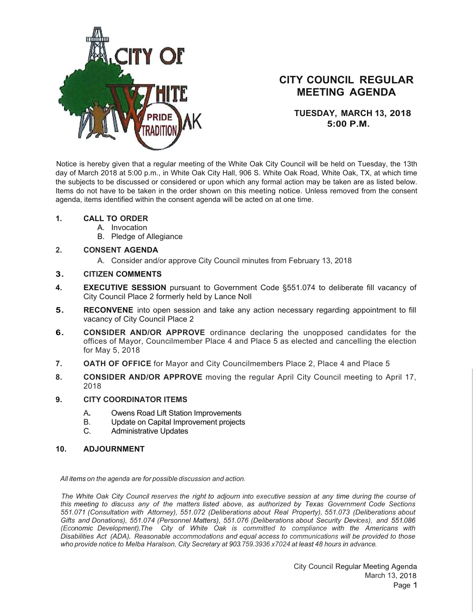

## **CITY COUNCIL REGULAR MEETING AGENDA**

**TUESDAY, MARCH 13, 2018 5:00 P.M.**

Notice is hereby given that a regular meeting of the White Oak City Council will be held on Tuesday, the 13th day of March 2018 at 5:00 p.m., in White Oak City Hall, 906 S. White Oak Road, White Oak, TX, at which time the subjects to be discussed or considered or upon which any formal action may be taken are as listed below. Items do not have to be taken in the order shown on this meeting notice. Unless removed from the consent agenda, items identified within the consent agenda will be acted on at one time.

- **1. CALL TO ORDER**
	- A. Invocation
	- B. Pledge of Allegiance
- **2. CONSENT AGENDA**
	- A. Consider and/or approve City Council minutes from February 13, 2018
- **3. CITIZEN COMMENTS**
- **4. EXECUTIVE SESSION** pursuant to Government Code §551.074 to deliberate fill vacancy of City Council Place 2 formerly held by Lance Noll
- **5.** RECONVENE into open session and take any action necessary regarding appointment to fill vacancy of City Council Place 2
- **6. CONSIDER AND/OR APPROVE** ordinance declaring the unopposed candidates for the offices of Mayor, Councilmember Place 4 and Place 5 as elected and cancelling the election for May 5, 2018
- **7. OATH OF OFFICE** for Mayor and City Councilmembers Place 2, Place 4 and Place 5
- **8. CONSIDER AND/OR APPROVE** moving the regular April City Council meeting to April 17, 2018
- **9. CITY COORDINATOR ITEMS**
	- A**.** Owens Road Lift Station Improvements
	- B. Update on Capital Improvement projects<br>C. Administrative Updates
	- **Administrative Updates**
- **10. ADJOURNMENT**

*All items on the agenda are for possible discussion and action.*

The White Oak City Council reserves the right to adjourn into executive session at any time during the course of *this meeting to discuss any of the matters listed above, as authorized by Texas Government Code Sections 551.071 (Consultation with Attorney), 551.072 (Deliberations about Real Property), 551.073 (Deliberations about Gifts and Donations), 551.074 (Personnel Matters), 551.076 (Deliberations about Security Devices), and 551.086 (Economic Development).The City of White Oak is committed to compliance with the Americans with Disabilities Act (ADA). Reasonable accommodations and equal access to communications will be provided to those who provide notice to Melba Haralson, City Secretary at 903.759.3936 x7024 at least 48 hours in advance.*